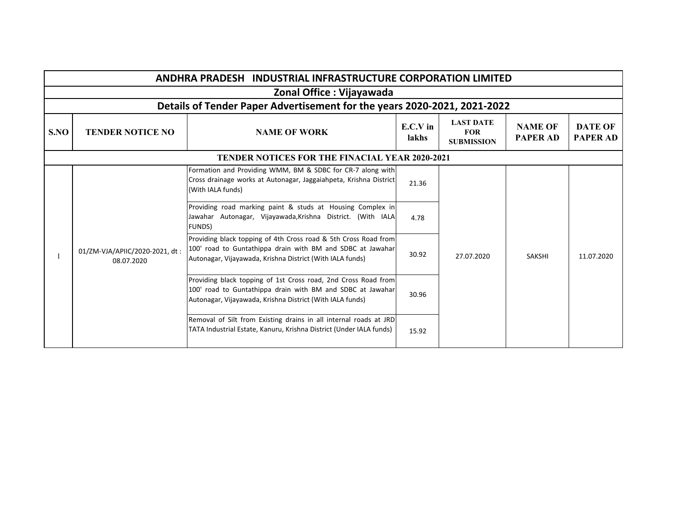| <b>ANDHRA PRADESH INDUSTRIAL INFRASTRUCTURE CORPORATION LIMITED</b>      |                                                       |                                                                                                                                                                                            |                   |                                                     |                                   |                                   |  |  |
|--------------------------------------------------------------------------|-------------------------------------------------------|--------------------------------------------------------------------------------------------------------------------------------------------------------------------------------------------|-------------------|-----------------------------------------------------|-----------------------------------|-----------------------------------|--|--|
| Zonal Office : Vijayawada                                                |                                                       |                                                                                                                                                                                            |                   |                                                     |                                   |                                   |  |  |
| Details of Tender Paper Advertisement for the years 2020-2021, 2021-2022 |                                                       |                                                                                                                                                                                            |                   |                                                     |                                   |                                   |  |  |
| S.NO                                                                     | <b>TENDER NOTICE NO</b>                               | <b>NAME OF WORK</b>                                                                                                                                                                        | E.C.V in<br>lakhs | <b>LAST DATE</b><br><b>FOR</b><br><b>SUBMISSION</b> | <b>NAME OF</b><br><b>PAPER AD</b> | <b>DATE OF</b><br><b>PAPER AD</b> |  |  |
|                                                                          | <b>TENDER NOTICES FOR THE FINACIAL YEAR 2020-2021</b> |                                                                                                                                                                                            |                   |                                                     |                                   |                                   |  |  |
|                                                                          | 01/ZM-VJA/APIIC/2020-2021, dt:<br>08.07.2020          | Formation and Providing WMM, BM & SDBC for CR-7 along with<br>Cross drainage works at Autonagar, Jaggaiahpeta, Krishna District<br>(With IALA funds)                                       | 21.36             | 27.07.2020                                          | <b>SAKSHI</b>                     | 11.07.2020                        |  |  |
|                                                                          |                                                       | Providing road marking paint & studs at Housing Complex in<br>Jawahar Autonagar, Vijayawada, Krishna District. (With IALA<br><b>FUNDS</b> )                                                | 4.78              |                                                     |                                   |                                   |  |  |
|                                                                          |                                                       | Providing black topping of 4th Cross road & 5th Cross Road from<br>100' road to Guntathippa drain with BM and SDBC at Jawahar<br>Autonagar, Vijayawada, Krishna District (With IALA funds) | 30.92             |                                                     |                                   |                                   |  |  |
|                                                                          |                                                       | Providing black topping of 1st Cross road, 2nd Cross Road from<br>100' road to Guntathippa drain with BM and SDBC at Jawahar<br>Autonagar, Vijayawada, Krishna District (With IALA funds)  | 30.96             |                                                     |                                   |                                   |  |  |
|                                                                          |                                                       | Removal of Silt from Existing drains in all internal roads at JRD<br>TATA Industrial Estate, Kanuru, Krishna District (Under IALA funds)                                                   | 15.92             |                                                     |                                   |                                   |  |  |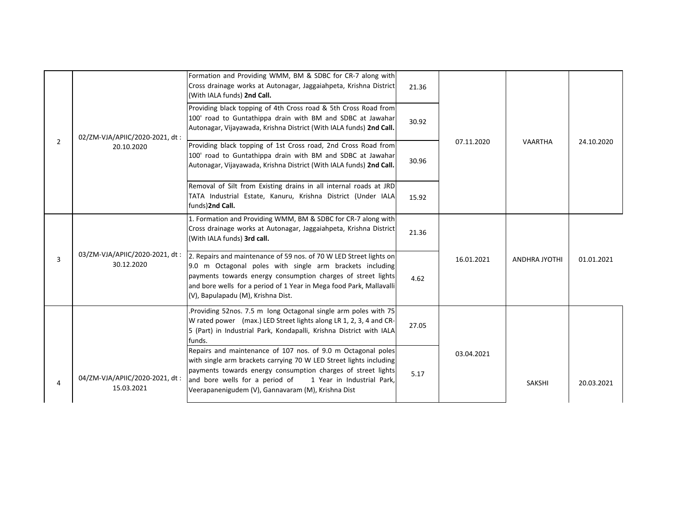|                |                                              | Formation and Providing WMM, BM & SDBC for CR-7 along with<br>Cross drainage works at Autonagar, Jaggaiahpeta, Krishna District<br>(With IALA funds) 2nd Call.                                                                                                                                                           | 21.36 |            |                      |            |
|----------------|----------------------------------------------|--------------------------------------------------------------------------------------------------------------------------------------------------------------------------------------------------------------------------------------------------------------------------------------------------------------------------|-------|------------|----------------------|------------|
| $\overline{2}$ | 02/ZM-VJA/APIIC/2020-2021, dt:<br>20.10.2020 | Providing black topping of 4th Cross road & 5th Cross Road from<br>100' road to Guntathippa drain with BM and SDBC at Jawahar<br>Autonagar, Vijayawada, Krishna District (With IALA funds) 2nd Call.                                                                                                                     | 30.92 | 07.11.2020 |                      |            |
|                |                                              | Providing black topping of 1st Cross road, 2nd Cross Road from<br>100' road to Guntathippa drain with BM and SDBC at Jawahar<br>Autonagar, Vijayawada, Krishna District (With IALA funds) 2nd Call.                                                                                                                      | 30.96 |            | <b>VAARTHA</b>       | 24.10.2020 |
|                |                                              | Removal of Silt from Existing drains in all internal roads at JRD<br>TATA Industrial Estate, Kanuru, Krishna District (Under IALA<br>funds)2nd Call.                                                                                                                                                                     | 15.92 |            |                      |            |
|                |                                              | 1. Formation and Providing WMM, BM & SDBC for CR-7 along with<br>Cross drainage works at Autonagar, Jaggaiahpeta, Krishna District<br>(With IALA funds) 3rd call.                                                                                                                                                        | 21.36 |            |                      |            |
| 3              | 03/ZM-VJA/APIIC/2020-2021, dt:<br>30.12.2020 | 2. Repairs and maintenance of 59 nos. of 70 W LED Street lights on<br>9.0 m Octagonal poles with single arm brackets including<br>payments towards energy consumption charges of street lights<br>and bore wells for a period of 1 Year in Mega food Park, Mallavalli<br>(V), Bapulapadu (M), Krishna Dist.              | 4.62  | 16.01.2021 | <b>ANDHRA JYOTHI</b> | 01.01.2021 |
|                |                                              | Providing 52nos. 7.5 m long Octagonal single arm poles with 75<br>W rated power (max.) LED Street lights along LR 1, 2, 3, 4 and CR-<br>5 (Part) in Industrial Park, Kondapalli, Krishna District with IALA<br>funds.                                                                                                    | 27.05 |            |                      |            |
| 4              | 04/ZM-VJA/APIIC/2020-2021, dt:<br>15.03.2021 | Repairs and maintenance of 107 nos. of 9.0 m Octagonal poles<br>with single arm brackets carrying 70 W LED Street lights including<br>payments towards energy consumption charges of street lights<br>and bore wells for a period of<br>1 Year in Industrial Park.<br>Veerapanenigudem (V), Gannavaram (M), Krishna Dist | 5.17  | 03.04.2021 | <b>SAKSHI</b>        | 20.03.2021 |